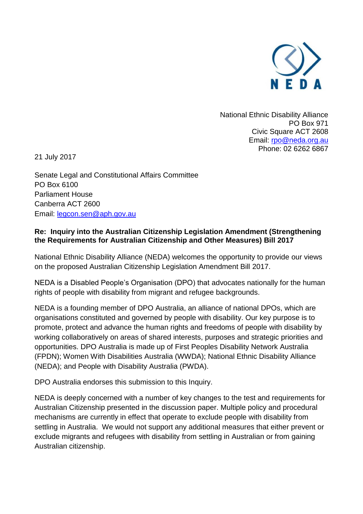

National Ethnic Disability Alliance PO Box 971 Civic Square ACT 2608 Email: [rpo@neda.org.au](mailto:rpo@neda.org.au) Phone: 02 6262 6867

21 July 2017

Senate Legal and Constitutional Affairs Committee PO Box 6100 Parliament House Canberra ACT 2600 Email: [legcon.sen@aph.gov.au](mailto:legcon.sen@aph.gov.au)

#### **Re: Inquiry into the Australian Citizenship Legislation Amendment (Strengthening the Requirements for Australian Citizenship and Other Measures) Bill 2017**

National Ethnic Disability Alliance (NEDA) welcomes the opportunity to provide our views on the proposed Australian Citizenship Legislation Amendment Bill 2017.

NEDA is a Disabled People's Organisation (DPO) that advocates nationally for the human rights of people with disability from migrant and refugee backgrounds.

NEDA is a founding member of DPO Australia, an alliance of national DPOs, which are organisations constituted and governed by people with disability. Our key purpose is to promote, protect and advance the human rights and freedoms of people with disability by working collaboratively on areas of shared interests, purposes and strategic priorities and opportunities. DPO Australia is made up of First Peoples Disability Network Australia (FPDN); Women With Disabilities Australia (WWDA); National Ethnic Disability Alliance (NEDA); and People with Disability Australia (PWDA).

DPO Australia endorses this submission to this Inquiry.

NEDA is deeply concerned with a number of key changes to the test and requirements for Australian Citizenship presented in the discussion paper. Multiple policy and procedural mechanisms are currently in effect that operate to exclude people with disability from settling in Australia. We would not support any additional measures that either prevent or exclude migrants and refugees with disability from settling in Australian or from gaining Australian citizenship.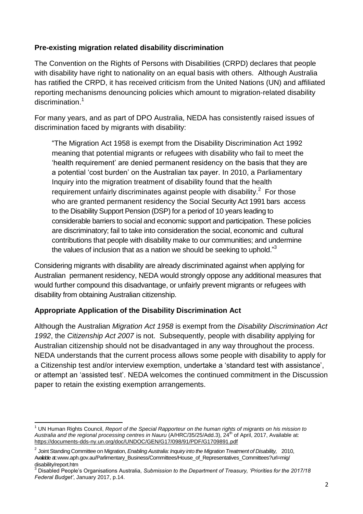# **Pre-existing migration related disability discrimination**

The Convention on the Rights of Persons with Disabilities (CRPD) declares that people with disability have right to nationality on an equal basis with others. Although Australia has ratified the CRPD, it has received criticism from the United Nations (UN) and affiliated reporting mechanisms denouncing policies which amount to migration-related disability discrimination. 1

For many years, and as part of DPO Australia, NEDA has consistently raised issues of discrimination faced by migrants with disability:

"The Migration Act 1958 is exempt from the Disability Discrimination Act 1992 meaning that potential migrants or refugees with disability who fail to meet the 'health requirement' are denied permanent residency on the basis that they are a potential 'cost burden' on the Australian tax payer. In 2010, a Parliamentary Inquiry into the migration treatment of disability found that the health requirement unfairly discriminates against people with disability. $2$  For those who are granted permanent residency the Social Security Act 1991 bars access to the Disability Support Pension (DSP) for a period of 10 years leading to considerable barriers to social and economic support and participation. These policies are discriminatory; fail to take into consideration the social, economic and cultural contributions that people with disability make to our communities; and undermine the values of inclusion that as a nation we should be seeking to uphold." $3$ 

Considering migrants with disability are already discriminated against when applying for Australian permanent residency, NEDA would strongly oppose any additional measures that would further compound this disadvantage, or unfairly prevent migrants or refugees with disability from obtaining Australian citizenship.

# **Appropriate Application of the Disability Discrimination Act**

Although the Australian *Migration Act 1958* is exempt from the *Disability Discrimination Act 1992*, the *Citizenship Act 2007* is not. Subsequently, people with disability applying for Australian citizenship should not be disadvantaged in any way throughout the process. NEDA understands that the current process allows some people with disability to apply for a Citizenship test and/or interview exemption, undertake a 'standard test with assistance', or attempt an 'assisted test'. NEDA welcomes the continued commitment in the Discussion paper to retain the existing exemption arrangements.

 $\overline{a}$ <sup>1</sup> UN Human Rights Council, *Report of the Special Rapporteur on the human rights of migrants on his mission to Australia and the regional processing centres in Nauru* (A/HRC/35/25/Add.3), 24<sup>th</sup> of April, 2017, Available at: <https://documents-dds-ny.un.org/doc/UNDOC/GEN/G17/098/91/PDF/G1709891.pdf>

<sup>2</sup> Joint Standing Committee on Migration, *Enabling Australia: Inquiry into the Migration Treatment of Disability,* 2010, Available at : www.aph.gov.au/Parlimentary\_Business/Committees/House\_of\_Representatives\_Committees?url=mig/ disability/report.htm

<sup>3</sup> Disabled People's Organisations Australia, *Submission to the Department of Treasury, 'Priorities for the 2017/18 Federal Budget'*, January 2017, p.14.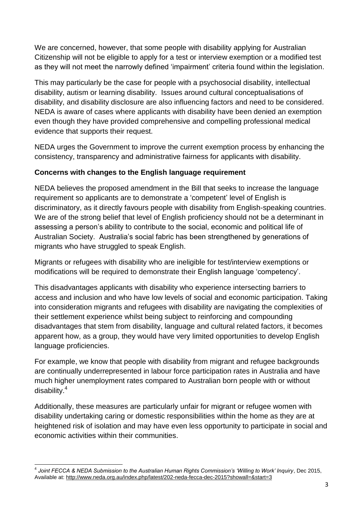We are concerned, however, that some people with disability applying for Australian Citizenship will not be eligible to apply for a test or interview exemption or a modified test as they will not meet the narrowly defined 'impairment' criteria found within the legislation.

This may particularly be the case for people with a psychosocial disability, intellectual disability, autism or learning disability. Issues around cultural conceptualisations of disability, and disability disclosure are also influencing factors and need to be considered. NEDA is aware of cases where applicants with disability have been denied an exemption even though they have provided comprehensive and compelling professional medical evidence that supports their request.

NEDA urges the Government to improve the current exemption process by enhancing the consistency, transparency and administrative fairness for applicants with disability.

# **Concerns with changes to the English language requirement**

NEDA believes the proposed amendment in the Bill that seeks to increase the language requirement so applicants are to demonstrate a 'competent' level of English is discriminatory, as it directly favours people with disability from English-speaking countries. We are of the strong belief that level of English proficiency should not be a determinant in assessing a person's ability to contribute to the social, economic and political life of Australian Society. Australia's social fabric has been strengthened by generations of migrants who have struggled to speak English.

Migrants or refugees with disability who are ineligible for test/interview exemptions or modifications will be required to demonstrate their English language 'competency'.

This disadvantages applicants with disability who experience intersecting barriers to access and inclusion and who have low levels of social and economic participation. Taking into consideration migrants and refugees with disability are navigating the complexities of their settlement experience whilst being subject to reinforcing and compounding disadvantages that stem from disability, language and cultural related factors, it becomes apparent how, as a group, they would have very limited opportunities to develop English language proficiencies.

For example, we know that people with disability from migrant and refugee backgrounds are continually underrepresented in labour force participation rates in Australia and have much higher unemployment rates compared to Australian born people with or without disability. 4

Additionally, these measures are particularly unfair for migrant or refugee women with disability undertaking caring or domestic responsibilities within the home as they are at heightened risk of isolation and may have even less opportunity to participate in social and economic activities within their communities.

 4 *Joint FECCA & NEDA Submission to the Australian Human Rights Commission's 'Willing to Work' Inquiry*, Dec 2015, Available at:<http://www.neda.org.au/index.php/latest/202-neda-fecca-dec-2015?showall=&start=3>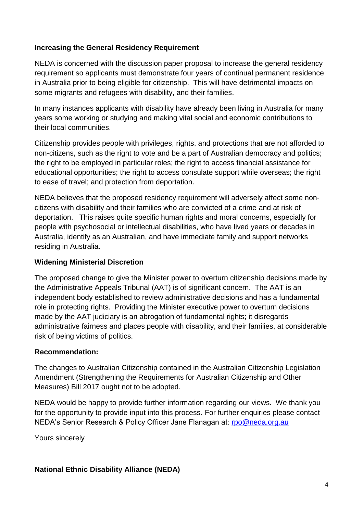## **Increasing the General Residency Requirement**

NEDA is concerned with the discussion paper proposal to increase the general residency requirement so applicants must demonstrate four years of continual permanent residence in Australia prior to being eligible for citizenship. This will have detrimental impacts on some migrants and refugees with disability, and their families.

In many instances applicants with disability have already been living in Australia for many years some working or studying and making vital social and economic contributions to their local communities.

Citizenship provides people with privileges, rights, and protections that are not afforded to non-citizens, such as the right to vote and be a part of Australian democracy and politics; the right to be employed in particular roles; the right to access financial assistance for educational opportunities; the right to access consulate support while overseas; the right to ease of travel; and protection from deportation.

NEDA believes that the proposed residency requirement will adversely affect some noncitizens with disability and their families who are convicted of a crime and at risk of deportation. This raises quite specific human rights and moral concerns, especially for people with psychosocial or intellectual disabilities, who have lived years or decades in Australia, identify as an Australian, and have immediate family and support networks residing in Australia.

### **Widening Ministerial Discretion**

The proposed change to give the Minister power to overturn citizenship decisions made by the Administrative Appeals Tribunal (AAT) is of significant concern. The AAT is an independent body established to review administrative decisions and has a fundamental role in protecting rights. Providing the Minister executive power to overturn decisions made by the AAT judiciary is an abrogation of fundamental rights; it disregards administrative fairness and places people with disability, and their families, at considerable risk of being victims of politics.

### **Recommendation:**

The changes to Australian Citizenship contained in the Australian Citizenship Legislation Amendment (Strengthening the Requirements for Australian Citizenship and Other Measures) Bill 2017 ought not to be adopted.

NEDA would be happy to provide further information regarding our views. We thank you for the opportunity to provide input into this process. For further enquiries please contact NEDA's Senior Research & Policy Officer Jane Flanagan at: [rpo@neda.org.au](mailto:rpo@neda.org.au)

Yours sincerely

### **National Ethnic Disability Alliance (NEDA)**